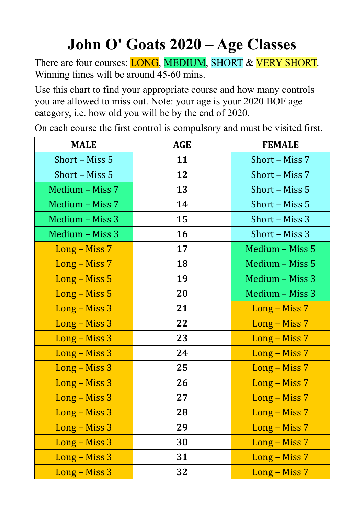## **John O' Goats 2020 – Age Classes**

There are four courses: **LONG**, **MEDIUM**, **SHORT** & **VERY SHORT**. Winning times will be around 45-60 mins.

Use this chart to find your appropriate course and how many controls you are allowed to miss out. Note: your age is your 2020 BOF age category, i.e. how old you will be by the end of 2020.

On each course the first control is compulsory and must be visited first.

| <b>MALE</b>     | <b>AGE</b> | <b>FEMALE</b>   |
|-----------------|------------|-----------------|
| Short - Miss 5  | 11         | Short - Miss 7  |
| Short - Miss 5  | 12         | Short - Miss 7  |
| Medium - Miss 7 | 13         | Short - Miss 5  |
| Medium - Miss 7 | 14         | Short - Miss 5  |
| Medium - Miss 3 | 15         | Short - Miss 3  |
| Medium - Miss 3 | 16         | Short - Miss 3  |
| Long - Miss 7   | 17         | Medium - Miss 5 |
| Long – Miss 7   | 18         | Medium - Miss 5 |
| Long – Miss 5   | 19         | Medium - Miss 3 |
| $Long - Miss 5$ | 20         | Medium - Miss 3 |
| Long – Miss 3   | 21         | Long – Miss 7   |
| Long – Miss 3   | 22         | $Long - Miss 7$ |
| Long – Miss 3   | 23         | Long – Miss 7   |
| Long – Miss 3   | 24         | $Long - Miss 7$ |
| Long – Miss 3   | 25         | Long – Miss 7   |
| Long – Miss 3   | 26         | Long – Miss 7   |
| Long - Miss 3   | 27         | Long – Miss 7   |
| Long - Miss 3   | 28         | Long – Miss 7   |
| Long - Miss 3   | 29         | Long – Miss 7   |
| Long - Miss 3   | 30         | Long – Miss 7   |
| Long – Miss 3   | 31         | Long – Miss 7   |
| Long – Miss 3   | 32         | Long - Miss 7   |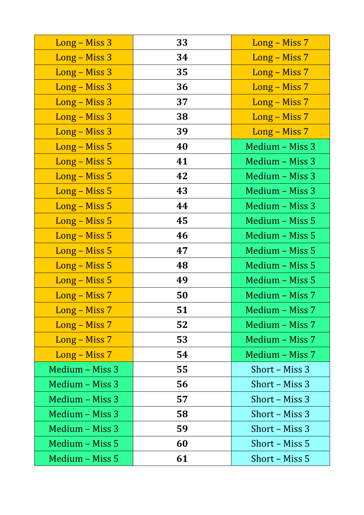| Long - Miss 3   | 33 | Long - Miss 7   |
|-----------------|----|-----------------|
| Long - Miss 3   | 34 | Long - Miss 7   |
| Long – Miss 3   | 35 | Long - Miss 7   |
| Long - Miss 3   | 36 | Long - Miss 7   |
| Long – Miss 3   | 37 | Long – Miss 7   |
| Long – Miss 3   | 38 | Long – Miss 7   |
| Long – Miss 3   | 39 | Long – Miss 7   |
| Long – Miss 5   | 40 | Medium - Miss 3 |
| Long – Miss 5   | 41 | Medium - Miss 3 |
| Long – Miss 5   | 42 | Medium - Miss 3 |
| Long – Miss 5   | 43 | Medium - Miss 3 |
| Long – Miss 5   | 44 | Medium - Miss 3 |
| Long – Miss 5   | 45 | Medium - Miss 5 |
| Long – Miss 5   | 46 | Medium - Miss 5 |
| $Long - Miss 5$ | 47 | Medium - Miss 5 |
| Long – Miss 5   | 48 | Medium - Miss 5 |
| $Long - Miss 5$ | 49 | Medium - Miss 5 |
| Long - Miss 7   | 50 | Medium - Miss 7 |
| Long – Miss 7   | 51 | Medium - Miss 7 |
| Long – Miss 7   | 52 | Medium - Miss 7 |
| Long – Miss 7   | 53 | Medium - Miss 7 |
| Long - Miss 7   | 54 | Medium - Miss 7 |
| Medium - Miss 3 | 55 | Short – Miss 3  |
| Medium - Miss 3 | 56 | Short – Miss 3  |
| Medium - Miss 3 | 57 | Short – Miss 3  |
| Medium - Miss 3 | 58 | Short – Miss 3  |
| Medium - Miss 3 | 59 | Short – Miss 3  |
| Medium – Miss 5 | 60 | Short – Miss 5  |
| Medium - Miss 5 | 61 | Short – Miss 5  |